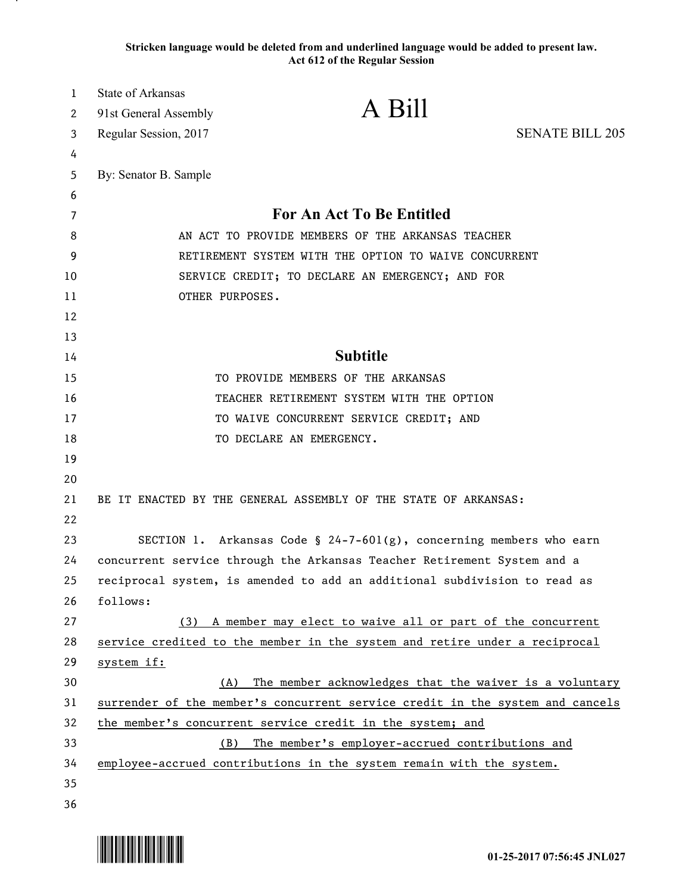**Stricken language would be deleted from and underlined language would be added to present law. Act 612 of the Regular Session**

| $\mathbf{1}$ | State of Arkansas                                     |                                                                               |                        |
|--------------|-------------------------------------------------------|-------------------------------------------------------------------------------|------------------------|
| 2            | 91st General Assembly                                 | A Bill                                                                        |                        |
| 3            | Regular Session, 2017                                 |                                                                               | <b>SENATE BILL 205</b> |
| 4            |                                                       |                                                                               |                        |
| 5            | By: Senator B. Sample                                 |                                                                               |                        |
| 6            |                                                       |                                                                               |                        |
| 7            |                                                       | For An Act To Be Entitled                                                     |                        |
| 8            | AN ACT TO PROVIDE MEMBERS OF THE ARKANSAS TEACHER     |                                                                               |                        |
| 9            | RETIREMENT SYSTEM WITH THE OPTION TO WAIVE CONCURRENT |                                                                               |                        |
| 10           |                                                       | SERVICE CREDIT; TO DECLARE AN EMERGENCY; AND FOR                              |                        |
| 11           | OTHER PURPOSES.                                       |                                                                               |                        |
| 12           |                                                       |                                                                               |                        |
| 13           |                                                       |                                                                               |                        |
| 14           |                                                       | <b>Subtitle</b>                                                               |                        |
| 15           |                                                       | TO PROVIDE MEMBERS OF THE ARKANSAS                                            |                        |
| 16           |                                                       | TEACHER RETIREMENT SYSTEM WITH THE OPTION                                     |                        |
| 17           |                                                       | TO WAIVE CONCURRENT SERVICE CREDIT; AND                                       |                        |
| 18           |                                                       | TO DECLARE AN EMERGENCY.                                                      |                        |
| 19           |                                                       |                                                                               |                        |
| 20           |                                                       |                                                                               |                        |
| 21           |                                                       | BE IT ENACTED BY THE GENERAL ASSEMBLY OF THE STATE OF ARKANSAS:               |                        |
| 22           |                                                       |                                                                               |                        |
| 23           |                                                       | SECTION 1. Arkansas Code § 24-7-601(g), concerning members who earn           |                        |
| 24           |                                                       | concurrent service through the Arkansas Teacher Retirement System and a       |                        |
| 25           |                                                       | reciprocal system, is amended to add an additional subdivision to read as     |                        |
| 26           | follows:                                              |                                                                               |                        |
| 27           |                                                       | (3) A member may elect to waive all or part of the concurrent                 |                        |
| 28           |                                                       | service credited to the member in the system and retire under a reciprocal    |                        |
| 29           | system if:                                            |                                                                               |                        |
| 30           | (A)                                                   | The member acknowledges that the waiver is a voluntary                        |                        |
| 31           |                                                       | surrender of the member's concurrent service credit in the system and cancels |                        |
| 32           |                                                       | the member's concurrent service credit in the system; and                     |                        |
| 33           | (B)                                                   | The member's employer-accrued contributions and                               |                        |
| 34           |                                                       | employee-accrued contributions in the system remain with the system.          |                        |
| 35           |                                                       |                                                                               |                        |
| 36           |                                                       |                                                                               |                        |